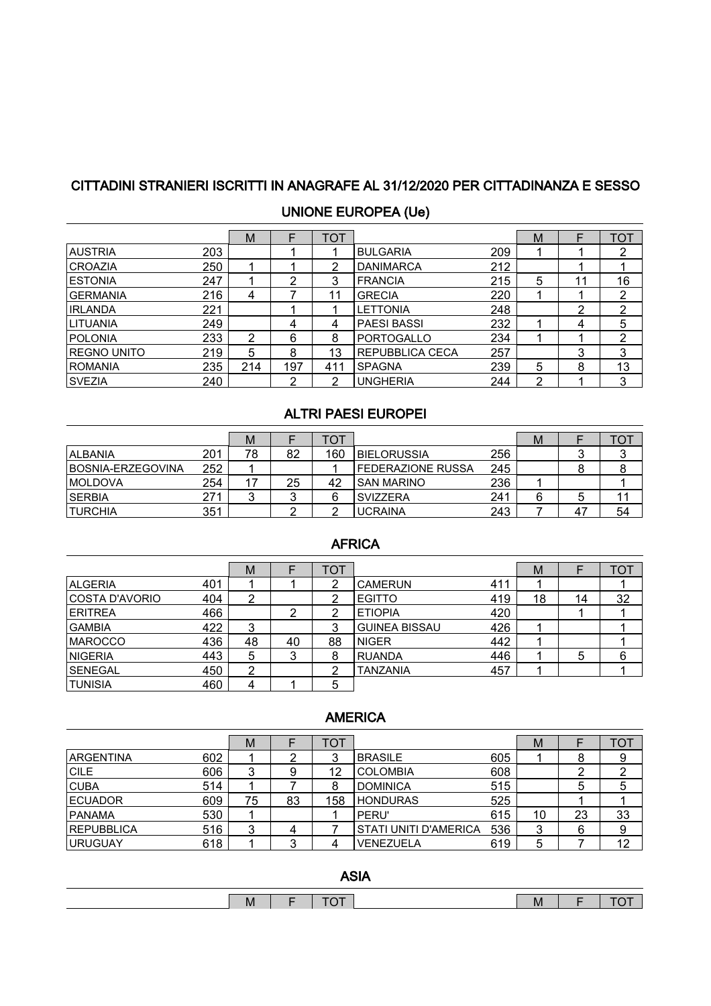# CITTADINI STRANIERI ISCRITTI IN ANAGRAFE AL 31/12/2020 PER CITTADINANZA E SESSO

|                    |     | M   |     | TOT |                    |     | М |   | TOT |
|--------------------|-----|-----|-----|-----|--------------------|-----|---|---|-----|
| <b>AUSTRIA</b>     | 203 |     |     |     | <b>BULGARIA</b>    | 209 |   |   | ົ   |
| <b>CROAZIA</b>     | 250 |     |     | 2   | <b>DANIMARCA</b>   | 212 |   |   |     |
| <b>ESTONIA</b>     | 247 |     | ົ   | 3   | <b>FRANCIA</b>     | 215 | 5 |   | 16  |
| <b>GERMANIA</b>    | 216 | 4   |     | 11  | <b>GRECIA</b>      | 220 |   |   | 2   |
| <b>IRLANDA</b>     | 221 |     |     |     | <b>LETTONIA</b>    | 248 |   | ົ | 2   |
| <b>LITUANIA</b>    | 249 |     | 4   | 4   | <b>PAESI BASSI</b> | 232 |   | 4 | 5   |
| <b>POLONIA</b>     | 233 | 2   | 6   | 8   | <b>PORTOGALLO</b>  | 234 |   |   | 2   |
| <b>REGNO UNITO</b> | 219 | 5   | 8   | 13  | REPUBBLICA CECA    | 257 |   | 3 | 3   |
| <b>ROMANIA</b>     | 235 | 214 | 197 | 411 | <b>SPAGNA</b>      | 239 | 5 | 8 | 13  |
| <b>SVEZIA</b>      | 240 |     | ົ   | っ   | <b>UNGHERIA</b>    | 244 | ົ |   | 3   |

### UNIONE EUROPEA (Ue)

#### ALTRI PAESI EUROPEI

|                    |     | M  |    | тот |                          |     | М |             | ◡  |
|--------------------|-----|----|----|-----|--------------------------|-----|---|-------------|----|
| <b>ALBANIA</b>     | 201 | 78 | 82 | 160 | <b>BIELORUSSIA</b>       | 256 |   |             |    |
| IBOSNIA-ERZEGOVINA | 252 |    |    |     | <b>FEDERAZIONE RUSSA</b> | 245 |   |             |    |
| <b>IMOLDOVA</b>    | 254 |    | 25 | 42  | <b>SAN MARINO</b>        | 236 |   |             |    |
| <b>SERBIA</b>      | 271 |    |    |     | <b>SVIZZERA</b>          | 241 |   |             |    |
| <b>TURCHIA</b>     | 351 |    |    |     | <b>UCRAINA</b>           | 243 |   | $4^{\circ}$ | 54 |

### AFRICA

|                |     | м  |    | TOT |                      |     | м  |    | TOT |
|----------------|-----|----|----|-----|----------------------|-----|----|----|-----|
| <b>ALGERIA</b> | 401 |    |    |     | <b>CAMERUN</b>       | 411 |    |    |     |
| COSTA D'AVORIO | 404 | ⌒  |    |     | <b>EGITTO</b>        | 419 | 18 | 14 | 32  |
| <b>ERITREA</b> | 466 |    | n  |     | <b>ETIOPIA</b>       | 420 |    |    |     |
| <b>GAMBIA</b>  | 422 | 3  |    |     | <b>GUINEA BISSAU</b> | 426 |    |    |     |
| <b>MAROCCO</b> | 436 | 48 | 40 | 88  | INIGER               | 442 |    |    |     |
| <b>NIGERIA</b> | 443 | 5  | 3  | 8   | <b>RUANDA</b>        | 446 |    | 5  | 6   |
| <b>SENEGAL</b> | 450 | ົ  |    | ◠   | <b>TANZANIA</b>      | 457 |    |    |     |
| <b>TUNISIA</b> | 460 |    |    | 5   |                      |     |    |    |     |

#### AMERICA

|                   |     | M  |    | וסי |                              |     | М  |    | TO1 |
|-------------------|-----|----|----|-----|------------------------------|-----|----|----|-----|
| <b>ARGENTINA</b>  | 602 |    |    | 2   | <b>BRASILE</b>               | 605 |    |    |     |
| <b>CILE</b>       | 606 | 3  | 9  | 12  | <b>COLOMBIA</b>              | 608 |    |    |     |
| <b>CUBA</b>       | 514 |    |    |     | <b>DOMINICA</b>              | 515 |    | 5  | 5   |
| <b>IECUADOR</b>   | 609 | 75 | 83 | 158 | <b>HONDURAS</b>              | 525 |    |    |     |
| <b>PANAMA</b>     | 530 |    |    |     | PERU'                        | 615 | 10 | 23 | 33  |
| <b>REPUBBLICA</b> | 516 | 3  |    |     | <b>STATI UNITI D'AMERICA</b> | 536 | 3  | 6  | 9   |
| <b>IURUGUAY</b>   | 618 |    |    |     | VENEZUELA                    | 619 | 5  |    | 12  |

ASIA

| <b>IVI</b> |  | <b>IVI</b> |  |
|------------|--|------------|--|
|            |  |            |  |